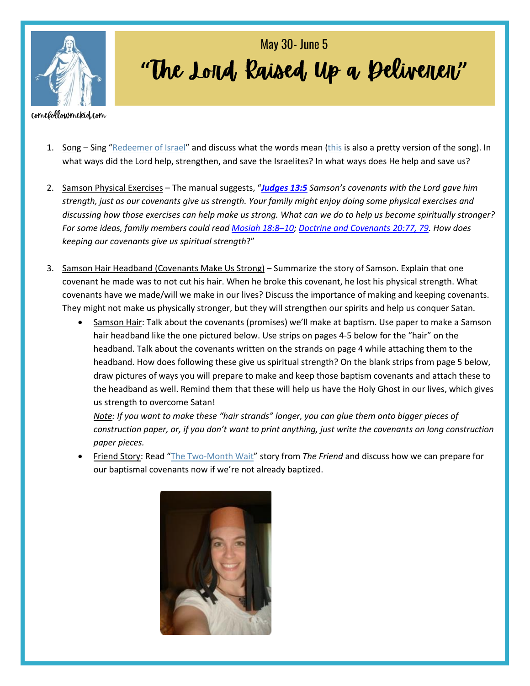

## "The Lord Raised Up a Deliveren" May 30- June 5

## comefollowmekid.com

- 1. Song Sing "[Redeemer of Israel](https://www.youtube.com/watch?v=zQcsK1eCug4)" and discuss what the words mean [\(this](https://www.youtube.com/watch?v=vPHSfRMNPlk) is also a pretty version of the song). In what ways did the Lord help, strengthen, and save the Israelites? In what ways does He help and save us?
- 2. Samson Physical Exercises The manual suggests, "*[Judges](https://www.churchofjesuschrist.org/study/scriptures/ot/judg/13.5?lang=eng#p5) 13:5 Samson's covenants with the Lord gave him strength, just as our covenants give us strength. Your family might enjoy doing some physical exercises and discussing how those exercises can help make us strong. What can we do to help us become spiritually stronger? For some ideas, family members could read [Mosiah](https://www.churchofjesuschrist.org/study/scriptures/bofm/mosiah/18.8-10?lang=eng#p8) 18:8–10; Doctrine and [Covenants](https://www.churchofjesuschrist.org/study/scriptures/dc-testament/dc/20.77,79?lang=eng#p77) 20:77, 79. How does keeping our covenants give us spiritual strength*?"
- 3. Samson Hair Headband (Covenants Make Us Strong) Summarize the story of Samson. Explain that one covenant he made was to not cut his hair. When he broke this covenant, he lost his physical strength. What covenants have we made/will we make in our lives? Discuss the importance of making and keeping covenants. They might not make us physically stronger, but they will strengthen our spirits and help us conquer Satan.
	- Samson Hair: Talk about the covenants (promises) we'll make at baptism. Use paper to make a Samson hair headband like the one pictured below. Use strips on pages 4-5 below for the "hair" on the headband. Talk about the covenants written on the strands on page 4 while attaching them to the headband. How does following these give us spiritual strength? On the blank strips from page 5 below, draw pictures of ways you will prepare to make and keep those baptism covenants and attach these to the headband as well. Remind them that these will help us have the Holy Ghost in our lives, which gives us strength to overcome Satan!

*Note: If you want to make these "hair strands" longer, you can glue them onto bigger pieces of construction paper, or, if you don't want to print anything, just write the covenants on long construction paper pieces.*

• Friend Story: Read "[The Two-Month Wait](https://media.ldscdn.org/pdf/lds-magazines/friend-april-2012/2012-04-18-the-two-month-wait-eng.pdf)" story from *The Friend* and discuss how we can prepare for our baptismal covenants now if we're not already baptized.

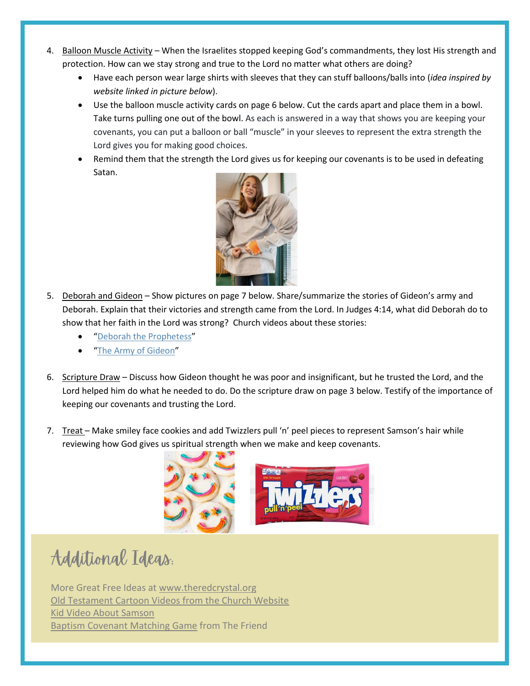- 4. Balloon Muscle Activity When the Israelites stopped keeping God's commandments, they lost His strength and protection. How can we stay strong and true to the Lord no matter what others are doing?
	- Have each person wear large shirts with sleeves that they can stuff balloons/balls into (*idea inspired by website linked in picture below*).
	- Use the balloon muscle activity cards on page 6 below. Cut the cards apart and place them in a bowl. Take turns pulling one out of the bowl. As each is answered in a way that shows you are keeping your covenants, you can put a balloon or ball "muscle" in your sleeves to represent the extra strength the Lord gives you for making good choices.
	- Remind them that the strength the Lord gives us for keeping our covenants is to be used in defeating Satan.



- 5. Deborah and Gideon Show pictures on page 7 below. Share/summarize the stories of Gideon's army and Deborah. Explain that their victories and strength came from the Lord. In Judges 4:14, what did Deborah do to show that her faith in the Lord was strong? Church videos about these stories:
	- "[Deborah the Prophetess](https://abn.churchofjesuschrist.org/study/manual/old-testament-stories-2022/deborah-the-prophetess?lang=eng)"
	- "[The Army of Gideon](https://abn.churchofjesuschrist.org/study/manual/old-testament-stories-2022/the-army-of-gideon?lang=eng)"
- 6. Scripture Draw Discuss how Gideon thought he was poor and insignificant, but he trusted the Lord, and the Lord helped him do what he needed to do. Do the scripture draw on page 3 below. Testify of the importance of keeping our covenants and trusting the Lord.
- 7. Treat Make smiley face cookies and add Twizzlers pull 'n' peel pieces to represent Samson's hair while reviewing how God gives us spiritual strength when we make and keep covenants.



Additional Ideas.

More Great Free Ideas at [www.theredcrystal.org](http://www.theredcrystal.org/) [Old Testament Cartoon Videos from the Church Website](https://www.churchofjesuschrist.org/study/manual/old-testament-stories-2022?lang=eng) [Kid Video About Samson](https://vimeo.com/70579691) [Baptism Covenant Matching Game](https://media.ldscdn.org/pdf/magazines/friend-february-2019/2019-02-0008-the-baptism-covenant-eng.pdf) from The Friend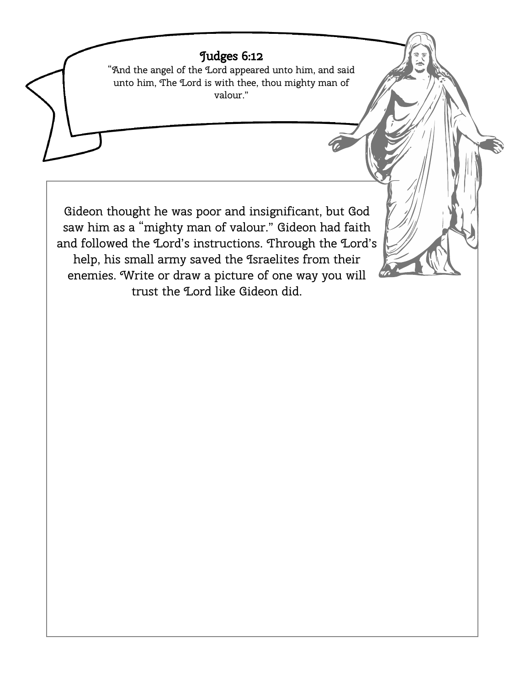## Judges 6:12

"And the angel of the Lord appeared unto him, and said unto him, The Lord is with thee, thou mighty man of valour."

Gideon thought he was poor and insignificant, but God saw him as a "mighty man of valour." Gideon had faith and followed the Lord's instructions. Through the Lord's help, his small army saved the Israelites from their enemies. Write or draw a picture of one way you will trust the Lord like Gideon did.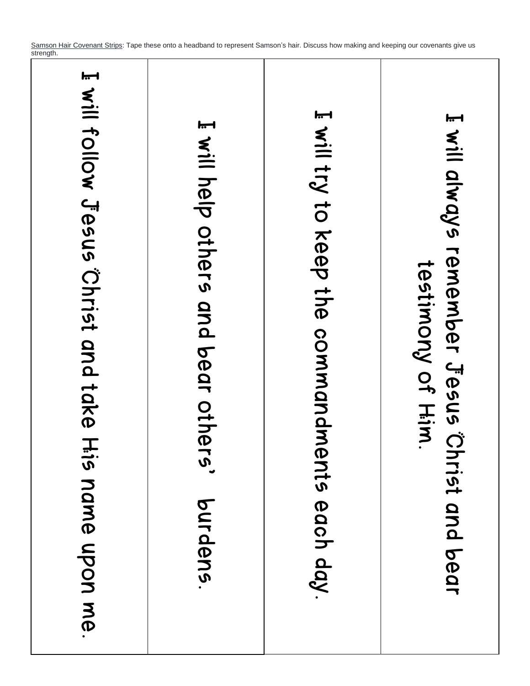Samson Hair Covenant Strips: Tape these onto a headband to represent Samson's hair. Discuss how making and keeping our covenants give us strength.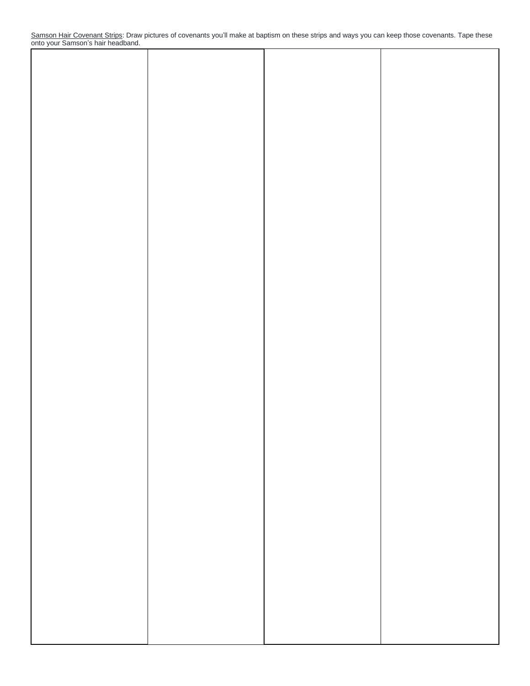Samson Hair Covenant Strips: Draw pictures of covenants you'll make at baptism on these strips and ways you can keep those covenants. Tape these onto your Samson's hair headband.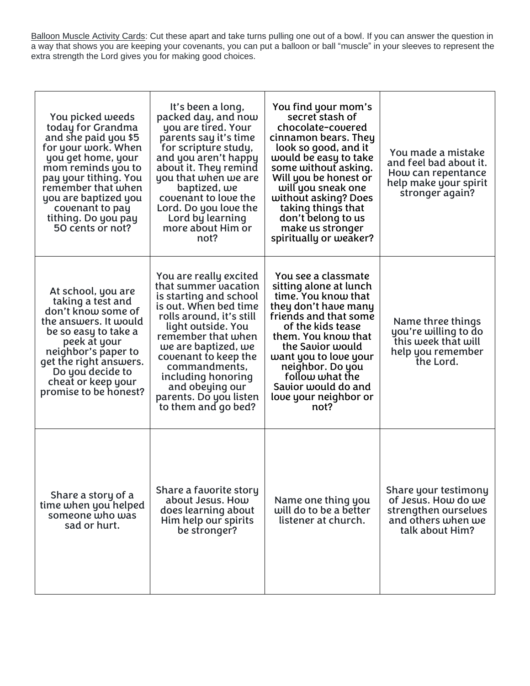Balloon Muscle Activity Cards: Cut these apart and take turns pulling one out of a bowl. If you can answer the question in a way that shows you are keeping your covenants, you can put a balloon or ball "muscle" in your sleeves to represent the extra strength the Lord gives you for making good choices.

| You picked weeds<br>today for Grandma<br>and she paid you \$5<br>for your work. When<br>you get home, your<br>mom reminds you to<br>pay your tithing. You<br>remember that when<br>you are baptized you<br>covenant to pay<br>tithing. Do you pay<br>50 cents or not? | It's been a long,<br>packed day, and now<br>you are tired. Your<br>parents say it's time<br>for scripture study,<br>and you aren't happy<br>about it. They remind<br>you that when we are<br>baptized, we<br>covenant to love the<br>Lord. Do you love the<br>Lord by learning<br>more about Him or<br>not?                         | You find your mom's<br>secret stash of<br>chocolate-covered<br>cinnamon bears. They<br>look so good, and it<br>would be easy to take<br>some without asking.<br>Will you be honest or<br>will you sneak one<br>without asking? Does<br>taking things that<br>don't belong to us<br>make us stronger<br>spiritually or weaker? | You made a mistake<br>and feel bad about it.<br>How can repentance<br>help make your spirit<br>stronger again? |
|-----------------------------------------------------------------------------------------------------------------------------------------------------------------------------------------------------------------------------------------------------------------------|-------------------------------------------------------------------------------------------------------------------------------------------------------------------------------------------------------------------------------------------------------------------------------------------------------------------------------------|-------------------------------------------------------------------------------------------------------------------------------------------------------------------------------------------------------------------------------------------------------------------------------------------------------------------------------|----------------------------------------------------------------------------------------------------------------|
| At school, you are<br>taking a test and<br>don't know some of<br>the answers. It would<br>be so easy to take a<br>peek at your<br>neighbor's paper to<br>get the right answers.<br>Do you decide to<br>cheat or keep your<br>promise to be honest?                    | You are really excited<br>that summer vacation<br>is starting and school<br>is out. When bed time<br>rolls around, it's still<br>light outside. You<br>remember that when<br>we are baptized, we<br>covenant to keep the<br>commandments,<br>including honoring<br>and obeying our<br>parents. Do you listen<br>to them and go bed? | You see a classmate<br>sitting alone at lunch<br>time. You know that<br>they don't have many<br>friends and that some<br>of the kids tease<br>them. You know that<br>the Savior would<br>want you to love your<br>neighbor. Do you<br>follow what the<br>Savior would do and<br>love your neighbor or<br>not?                 | Name three things<br>you're willing to do<br>this week that will<br>help you remember<br>the Lord.             |
| Share a story of a<br>time when you helped<br>someone who was<br>sad or hurt.                                                                                                                                                                                         | Share a favorite story<br>about Jesus. How<br>does learning about<br>Him help our spirits<br>be stronger?                                                                                                                                                                                                                           | Name one thing you<br>will do to be a better<br>listener at church.                                                                                                                                                                                                                                                           | Share your testimony<br>of Jesus. How do we<br>strengthen ourselves<br>and others when we<br>talk about Him?   |